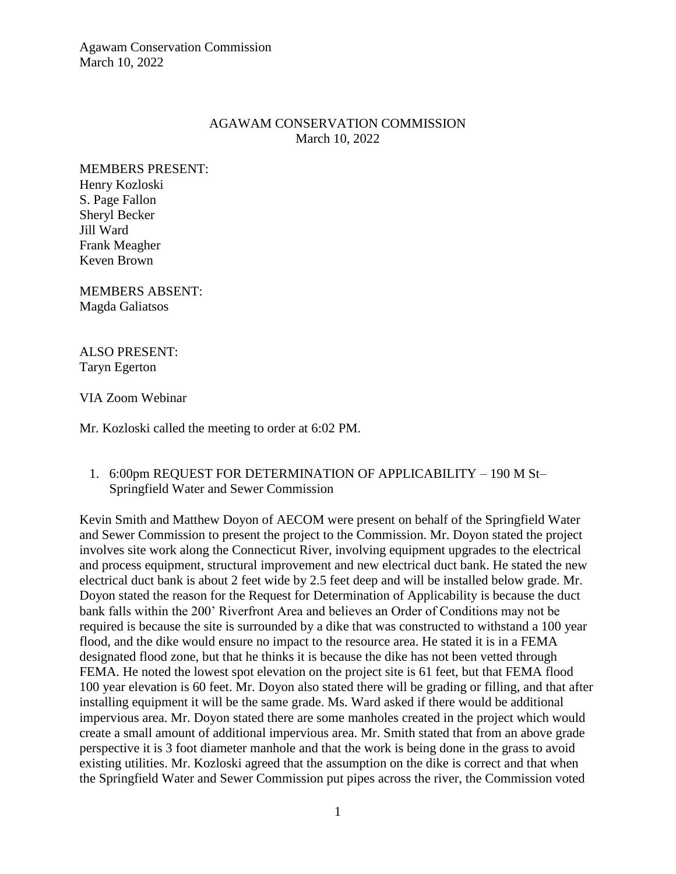Agawam Conservation Commission March 10, 2022

### AGAWAM CONSERVATION COMMISSION March 10, 2022

MEMBERS PRESENT: Henry Kozloski S. Page Fallon Sheryl Becker Jill Ward Frank Meagher Keven Brown

MEMBERS ABSENT: Magda Galiatsos

ALSO PRESENT: Taryn Egerton

VIA Zoom Webinar

Mr. Kozloski called the meeting to order at 6:02 PM.

### 1. 6:00pm REQUEST FOR DETERMINATION OF APPLICABILITY – 190 M St– Springfield Water and Sewer Commission

Kevin Smith and Matthew Doyon of AECOM were present on behalf of the Springfield Water and Sewer Commission to present the project to the Commission. Mr. Doyon stated the project involves site work along the Connecticut River, involving equipment upgrades to the electrical and process equipment, structural improvement and new electrical duct bank. He stated the new electrical duct bank is about 2 feet wide by 2.5 feet deep and will be installed below grade. Mr. Doyon stated the reason for the Request for Determination of Applicability is because the duct bank falls within the 200' Riverfront Area and believes an Order of Conditions may not be required is because the site is surrounded by a dike that was constructed to withstand a 100 year flood, and the dike would ensure no impact to the resource area. He stated it is in a FEMA designated flood zone, but that he thinks it is because the dike has not been vetted through FEMA. He noted the lowest spot elevation on the project site is 61 feet, but that FEMA flood 100 year elevation is 60 feet. Mr. Doyon also stated there will be grading or filling, and that after installing equipment it will be the same grade. Ms. Ward asked if there would be additional impervious area. Mr. Doyon stated there are some manholes created in the project which would create a small amount of additional impervious area. Mr. Smith stated that from an above grade perspective it is 3 foot diameter manhole and that the work is being done in the grass to avoid existing utilities. Mr. Kozloski agreed that the assumption on the dike is correct and that when the Springfield Water and Sewer Commission put pipes across the river, the Commission voted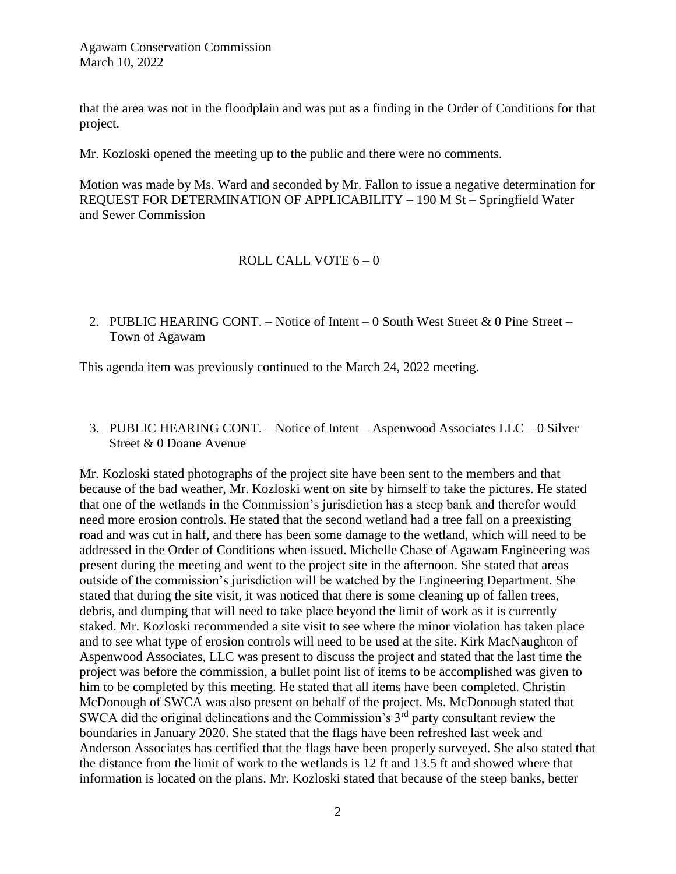Agawam Conservation Commission March 10, 2022

that the area was not in the floodplain and was put as a finding in the Order of Conditions for that project.

Mr. Kozloski opened the meeting up to the public and there were no comments.

Motion was made by Ms. Ward and seconded by Mr. Fallon to issue a negative determination for REQUEST FOR DETERMINATION OF APPLICABILITY – 190 M St – Springfield Water and Sewer Commission

### ROLL CALL VOTE 6 – 0

2. PUBLIC HEARING CONT. – Notice of Intent – 0 South West Street & 0 Pine Street – Town of Agawam

This agenda item was previously continued to the March 24, 2022 meeting.

3. PUBLIC HEARING CONT. – Notice of Intent – Aspenwood Associates LLC – 0 Silver Street & 0 Doane Avenue

Mr. Kozloski stated photographs of the project site have been sent to the members and that because of the bad weather, Mr. Kozloski went on site by himself to take the pictures. He stated that one of the wetlands in the Commission's jurisdiction has a steep bank and therefor would need more erosion controls. He stated that the second wetland had a tree fall on a preexisting road and was cut in half, and there has been some damage to the wetland, which will need to be addressed in the Order of Conditions when issued. Michelle Chase of Agawam Engineering was present during the meeting and went to the project site in the afternoon. She stated that areas outside of the commission's jurisdiction will be watched by the Engineering Department. She stated that during the site visit, it was noticed that there is some cleaning up of fallen trees, debris, and dumping that will need to take place beyond the limit of work as it is currently staked. Mr. Kozloski recommended a site visit to see where the minor violation has taken place and to see what type of erosion controls will need to be used at the site. Kirk MacNaughton of Aspenwood Associates, LLC was present to discuss the project and stated that the last time the project was before the commission, a bullet point list of items to be accomplished was given to him to be completed by this meeting. He stated that all items have been completed. Christin McDonough of SWCA was also present on behalf of the project. Ms. McDonough stated that SWCA did the original delineations and the Commission's 3<sup>rd</sup> party consultant review the boundaries in January 2020. She stated that the flags have been refreshed last week and Anderson Associates has certified that the flags have been properly surveyed. She also stated that the distance from the limit of work to the wetlands is 12 ft and 13.5 ft and showed where that information is located on the plans. Mr. Kozloski stated that because of the steep banks, better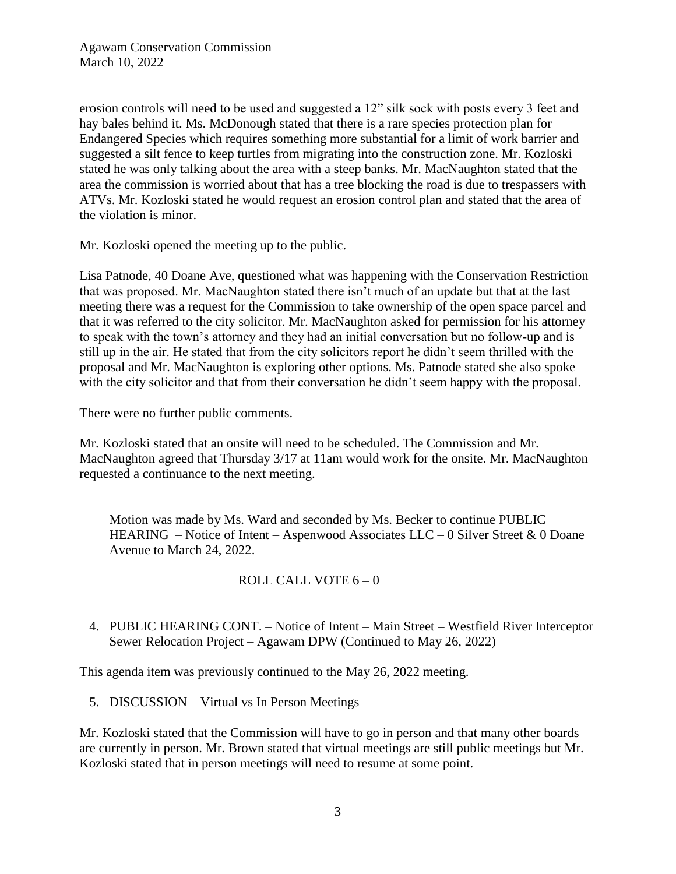erosion controls will need to be used and suggested a 12" silk sock with posts every 3 feet and hay bales behind it. Ms. McDonough stated that there is a rare species protection plan for Endangered Species which requires something more substantial for a limit of work barrier and suggested a silt fence to keep turtles from migrating into the construction zone. Mr. Kozloski stated he was only talking about the area with a steep banks. Mr. MacNaughton stated that the area the commission is worried about that has a tree blocking the road is due to trespassers with ATVs. Mr. Kozloski stated he would request an erosion control plan and stated that the area of the violation is minor.

Mr. Kozloski opened the meeting up to the public.

Lisa Patnode, 40 Doane Ave, questioned what was happening with the Conservation Restriction that was proposed. Mr. MacNaughton stated there isn't much of an update but that at the last meeting there was a request for the Commission to take ownership of the open space parcel and that it was referred to the city solicitor. Mr. MacNaughton asked for permission for his attorney to speak with the town's attorney and they had an initial conversation but no follow-up and is still up in the air. He stated that from the city solicitors report he didn't seem thrilled with the proposal and Mr. MacNaughton is exploring other options. Ms. Patnode stated she also spoke with the city solicitor and that from their conversation he didn't seem happy with the proposal.

There were no further public comments.

Mr. Kozloski stated that an onsite will need to be scheduled. The Commission and Mr. MacNaughton agreed that Thursday 3/17 at 11am would work for the onsite. Mr. MacNaughton requested a continuance to the next meeting.

Motion was made by Ms. Ward and seconded by Ms. Becker to continue PUBLIC HEARING – Notice of Intent – Aspenwood Associates LLC – 0 Silver Street & 0 Doane Avenue to March 24, 2022.

# ROLL CALL VOTE 6 – 0

4. PUBLIC HEARING CONT. – Notice of Intent – Main Street – Westfield River Interceptor Sewer Relocation Project – Agawam DPW (Continued to May 26, 2022)

This agenda item was previously continued to the May 26, 2022 meeting.

5. DISCUSSION – Virtual vs In Person Meetings

Mr. Kozloski stated that the Commission will have to go in person and that many other boards are currently in person. Mr. Brown stated that virtual meetings are still public meetings but Mr. Kozloski stated that in person meetings will need to resume at some point.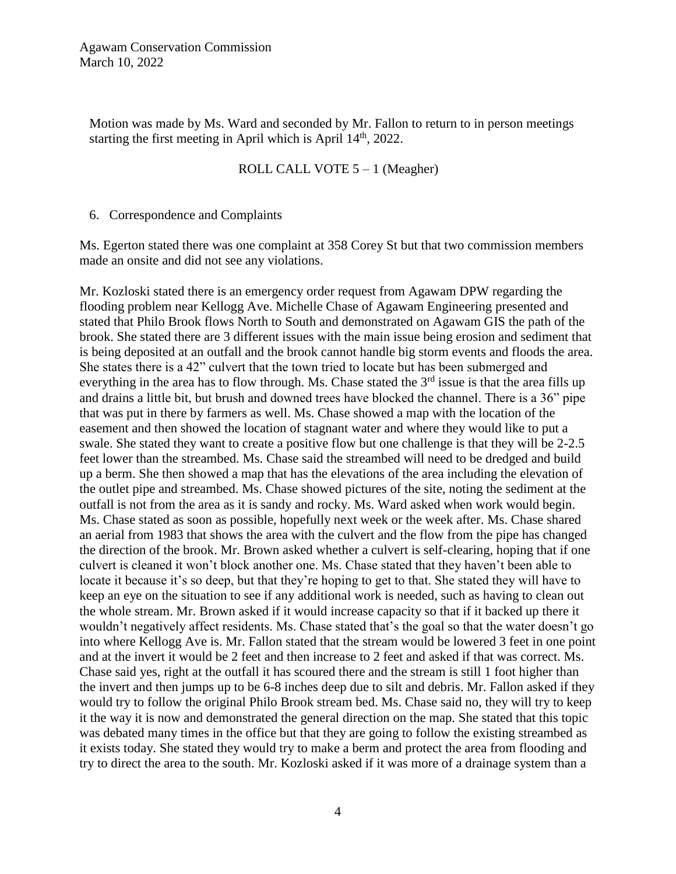Motion was made by Ms. Ward and seconded by Mr. Fallon to return to in person meetings starting the first meeting in April which is April  $14<sup>th</sup>$ , 2022.

### ROLL CALL VOTE 5 – 1 (Meagher)

6. Correspondence and Complaints

Ms. Egerton stated there was one complaint at 358 Corey St but that two commission members made an onsite and did not see any violations.

Mr. Kozloski stated there is an emergency order request from Agawam DPW regarding the flooding problem near Kellogg Ave. Michelle Chase of Agawam Engineering presented and stated that Philo Brook flows North to South and demonstrated on Agawam GIS the path of the brook. She stated there are 3 different issues with the main issue being erosion and sediment that is being deposited at an outfall and the brook cannot handle big storm events and floods the area. She states there is a 42" culvert that the town tried to locate but has been submerged and everything in the area has to flow through. Ms. Chase stated the  $3<sup>rd</sup>$  issue is that the area fills up and drains a little bit, but brush and downed trees have blocked the channel. There is a 36" pipe that was put in there by farmers as well. Ms. Chase showed a map with the location of the easement and then showed the location of stagnant water and where they would like to put a swale. She stated they want to create a positive flow but one challenge is that they will be 2-2.5 feet lower than the streambed. Ms. Chase said the streambed will need to be dredged and build up a berm. She then showed a map that has the elevations of the area including the elevation of the outlet pipe and streambed. Ms. Chase showed pictures of the site, noting the sediment at the outfall is not from the area as it is sandy and rocky. Ms. Ward asked when work would begin. Ms. Chase stated as soon as possible, hopefully next week or the week after. Ms. Chase shared an aerial from 1983 that shows the area with the culvert and the flow from the pipe has changed the direction of the brook. Mr. Brown asked whether a culvert is self-clearing, hoping that if one culvert is cleaned it won't block another one. Ms. Chase stated that they haven't been able to locate it because it's so deep, but that they're hoping to get to that. She stated they will have to keep an eye on the situation to see if any additional work is needed, such as having to clean out the whole stream. Mr. Brown asked if it would increase capacity so that if it backed up there it wouldn't negatively affect residents. Ms. Chase stated that's the goal so that the water doesn't go into where Kellogg Ave is. Mr. Fallon stated that the stream would be lowered 3 feet in one point and at the invert it would be 2 feet and then increase to 2 feet and asked if that was correct. Ms. Chase said yes, right at the outfall it has scoured there and the stream is still 1 foot higher than the invert and then jumps up to be 6-8 inches deep due to silt and debris. Mr. Fallon asked if they would try to follow the original Philo Brook stream bed. Ms. Chase said no, they will try to keep it the way it is now and demonstrated the general direction on the map. She stated that this topic was debated many times in the office but that they are going to follow the existing streambed as it exists today. She stated they would try to make a berm and protect the area from flooding and try to direct the area to the south. Mr. Kozloski asked if it was more of a drainage system than a